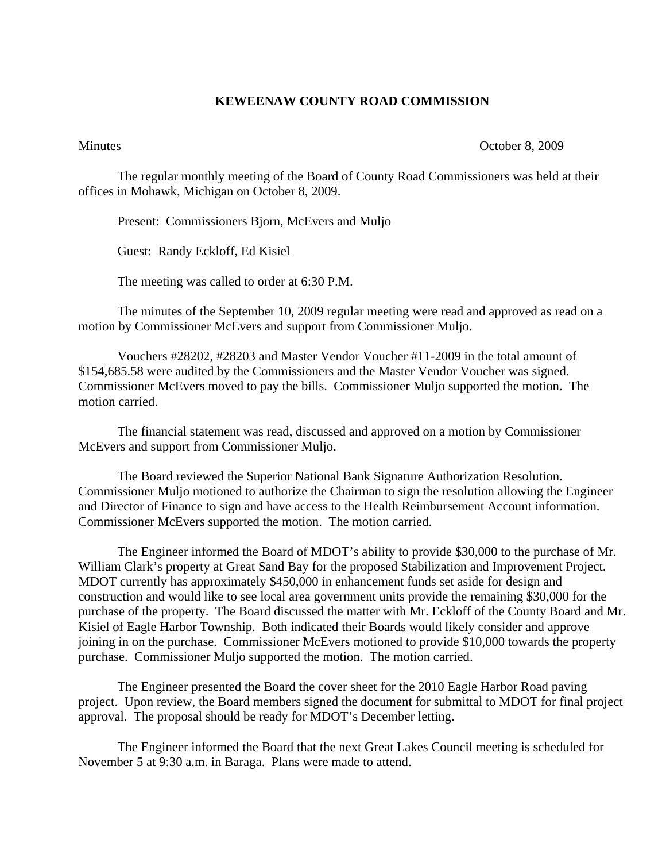## **KEWEENAW COUNTY ROAD COMMISSION**

## Minutes October 8, 2009

The regular monthly meeting of the Board of County Road Commissioners was held at their offices in Mohawk, Michigan on October 8, 2009.

Present: Commissioners Bjorn, McEvers and Muljo

Guest: Randy Eckloff, Ed Kisiel

The meeting was called to order at 6:30 P.M.

 The minutes of the September 10, 2009 regular meeting were read and approved as read on a motion by Commissioner McEvers and support from Commissioner Muljo.

 Vouchers #28202, #28203 and Master Vendor Voucher #11-2009 in the total amount of \$154,685.58 were audited by the Commissioners and the Master Vendor Voucher was signed. Commissioner McEvers moved to pay the bills. Commissioner Muljo supported the motion. The motion carried.

 The financial statement was read, discussed and approved on a motion by Commissioner McEvers and support from Commissioner Muljo.

 The Board reviewed the Superior National Bank Signature Authorization Resolution. Commissioner Muljo motioned to authorize the Chairman to sign the resolution allowing the Engineer and Director of Finance to sign and have access to the Health Reimbursement Account information. Commissioner McEvers supported the motion. The motion carried.

 The Engineer informed the Board of MDOT's ability to provide \$30,000 to the purchase of Mr. William Clark's property at Great Sand Bay for the proposed Stabilization and Improvement Project. MDOT currently has approximately \$450,000 in enhancement funds set aside for design and construction and would like to see local area government units provide the remaining \$30,000 for the purchase of the property. The Board discussed the matter with Mr. Eckloff of the County Board and Mr. Kisiel of Eagle Harbor Township. Both indicated their Boards would likely consider and approve joining in on the purchase. Commissioner McEvers motioned to provide \$10,000 towards the property purchase. Commissioner Muljo supported the motion. The motion carried.

 The Engineer presented the Board the cover sheet for the 2010 Eagle Harbor Road paving project. Upon review, the Board members signed the document for submittal to MDOT for final project approval. The proposal should be ready for MDOT's December letting.

 The Engineer informed the Board that the next Great Lakes Council meeting is scheduled for November 5 at 9:30 a.m. in Baraga. Plans were made to attend.